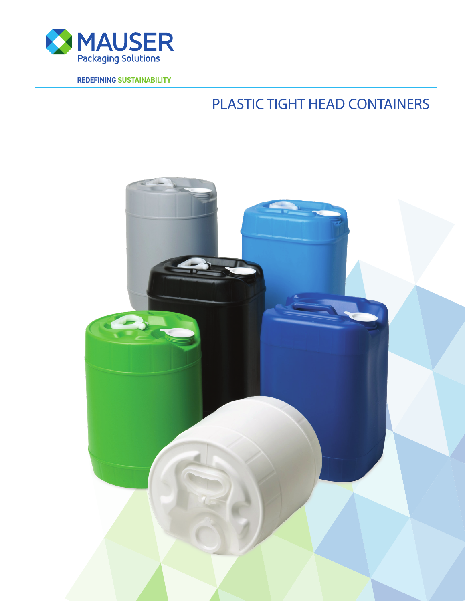

**REDEFINING SUSTAINABILITY**

# PLASTIC TIGHT HEAD CONTAINERS